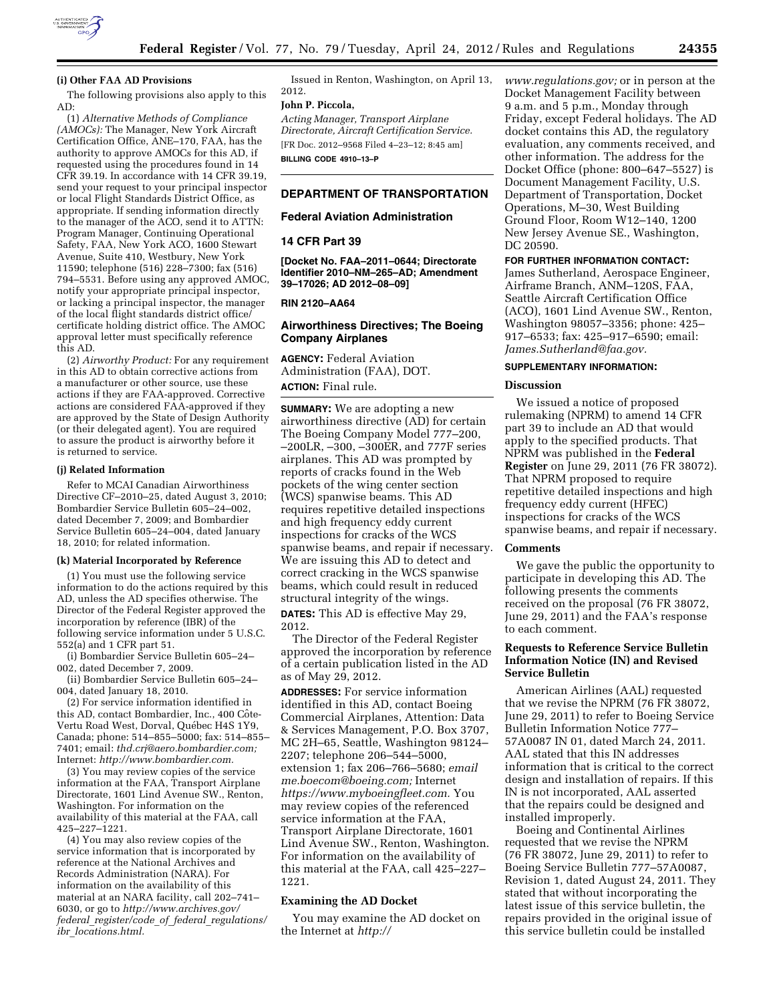

#### **(i) Other FAA AD Provisions**

The following provisions also apply to this AD:

(1) *Alternative Methods of Compliance (AMOCs):* The Manager, New York Aircraft Certification Office, ANE–170, FAA, has the authority to approve AMOCs for this AD, if requested using the procedures found in 14 CFR 39.19. In accordance with 14 CFR 39.19, send your request to your principal inspector or local Flight Standards District Office, as appropriate. If sending information directly to the manager of the ACO, send it to ATTN: Program Manager, Continuing Operational Safety, FAA, New York ACO, 1600 Stewart Avenue, Suite 410, Westbury, New York 11590; telephone (516) 228–7300; fax (516) 794–5531. Before using any approved AMOC, notify your appropriate principal inspector, or lacking a principal inspector, the manager of the local flight standards district office/ certificate holding district office. The AMOC approval letter must specifically reference this AD.

(2) *Airworthy Product:* For any requirement in this AD to obtain corrective actions from a manufacturer or other source, use these actions if they are FAA-approved. Corrective actions are considered FAA-approved if they are approved by the State of Design Authority (or their delegated agent). You are required to assure the product is airworthy before it is returned to service.

### **(j) Related Information**

Refer to MCAI Canadian Airworthiness Directive CF–2010–25, dated August 3, 2010; Bombardier Service Bulletin 605–24–002, dated December 7, 2009; and Bombardier Service Bulletin 605–24–004, dated January 18, 2010; for related information.

#### **(k) Material Incorporated by Reference**

(1) You must use the following service information to do the actions required by this AD, unless the AD specifies otherwise. The Director of the Federal Register approved the incorporation by reference (IBR) of the following service information under 5 U.S.C. 552(a) and 1 CFR part 51.

(i) Bombardier Service Bulletin 605–24– 002, dated December 7, 2009.

(ii) Bombardier Service Bulletin 605–24– 004, dated January 18, 2010.

(2) For service information identified in this AD, contact Bombardier, Inc., 400 Côte-Vertu Road West, Dorval, Québec H4S 1Y9, Canada; phone: 514–855–5000; fax: 514–855– 7401; email: *[thd.crj@aero.bombardier.com;](mailto:thd.crj@aero.bombardier.com)*  Internet: *[http://www.bombardier.com.](http://www.bombardier.com)* 

(3) You may review copies of the service information at the FAA, Transport Airplane Directorate, 1601 Lind Avenue SW., Renton, Washington. For information on the availability of this material at the FAA, call 425–227–1221.

(4) You may also review copies of the service information that is incorporated by reference at the National Archives and Records Administration (NARA). For information on the availability of this material at an NARA facility, call 202–741– 6030, or go to *[http://www.archives.gov/](http://www.archives.gov/federal_register/code_of_federal_regulations/ibr_locations.html)  federal*\_*[register/code](http://www.archives.gov/federal_register/code_of_federal_regulations/ibr_locations.html)*\_*of*\_*federal*\_*regulations/ ibr*\_*[locations.html.](http://www.archives.gov/federal_register/code_of_federal_regulations/ibr_locations.html)* 

Issued in Renton, Washington, on April 13, 2012.

# **John P. Piccola,**

*Acting Manager, Transport Airplane Directorate, Aircraft Certification Service.*  [FR Doc. 2012–9568 Filed 4–23–12; 8:45 am] **BILLING CODE 4910–13–P** 

# **DEPARTMENT OF TRANSPORTATION**

## **Federal Aviation Administration**

## **14 CFR Part 39**

**[Docket No. FAA–2011–0644; Directorate Identifier 2010–NM–265–AD; Amendment 39–17026; AD 2012–08–09]** 

## **RIN 2120–AA64**

## **Airworthiness Directives; The Boeing Company Airplanes**

**AGENCY:** Federal Aviation Administration (FAA), DOT. **ACTION:** Final rule.

**SUMMARY:** We are adopting a new airworthiness directive (AD) for certain The Boeing Company Model 777–200, –200LR, –300, –300ER, and 777F series airplanes. This AD was prompted by reports of cracks found in the Web pockets of the wing center section (WCS) spanwise beams. This AD requires repetitive detailed inspections and high frequency eddy current inspections for cracks of the WCS spanwise beams, and repair if necessary. We are issuing this AD to detect and correct cracking in the WCS spanwise beams, which could result in reduced structural integrity of the wings.

**DATES:** This AD is effective May 29, 2012.

The Director of the Federal Register approved the incorporation by reference of a certain publication listed in the AD as of May 29, 2012.

**ADDRESSES:** For service information identified in this AD, contact Boeing Commercial Airplanes, Attention: Data & Services Management, P.O. Box 3707, MC 2H–65, Seattle, Washington 98124– 2207; telephone 206–544–5000, extension 1; fax 206–766–5680; *email [me.boecom@boeing.com;](mailto:me.boecom@boeing.com)* Internet *[https://www.myboeingfleet.com.](https://www.myboeingfleet.com)* You may review copies of the referenced service information at the FAA, Transport Airplane Directorate, 1601 Lind Avenue SW., Renton, Washington. For information on the availability of this material at the FAA, call 425–227– 1221.

### **Examining the AD Docket**

You may examine the AD docket on the Internet at *[http://](http://www.regulations.gov)* 

*[www.regulations.gov;](http://www.regulations.gov)* or in person at the Docket Management Facility between 9 a.m. and 5 p.m., Monday through Friday, except Federal holidays. The AD docket contains this AD, the regulatory evaluation, any comments received, and other information. The address for the Docket Office (phone: 800–647–5527) is Document Management Facility, U.S. Department of Transportation, Docket Operations, M–30, West Building Ground Floor, Room W12–140, 1200 New Jersey Avenue SE., Washington, DC 20590.

### **FOR FURTHER INFORMATION CONTACT:**

James Sutherland, Aerospace Engineer, Airframe Branch, ANM–120S, FAA, Seattle Aircraft Certification Office (ACO), 1601 Lind Avenue SW., Renton, Washington 98057–3356; phone: 425– 917–6533; fax: 425–917–6590; email: *[James.Sutherland@faa.gov.](mailto:James.Sutherland@faa.gov)* 

## **SUPPLEMENTARY INFORMATION:**

#### **Discussion**

We issued a notice of proposed rulemaking (NPRM) to amend 14 CFR part 39 to include an AD that would apply to the specified products. That NPRM was published in the **Federal Register** on June 29, 2011 (76 FR 38072). That NPRM proposed to require repetitive detailed inspections and high frequency eddy current (HFEC) inspections for cracks of the WCS spanwise beams, and repair if necessary.

#### **Comments**

We gave the public the opportunity to participate in developing this AD. The following presents the comments received on the proposal (76 FR 38072, June 29, 2011) and the FAA's response to each comment.

# **Requests to Reference Service Bulletin Information Notice (IN) and Revised Service Bulletin**

American Airlines (AAL) requested that we revise the NPRM (76 FR 38072, June 29, 2011) to refer to Boeing Service Bulletin Information Notice 777– 57A0087 IN 01, dated March 24, 2011. AAL stated that this IN addresses information that is critical to the correct design and installation of repairs. If this IN is not incorporated, AAL asserted that the repairs could be designed and installed improperly.

Boeing and Continental Airlines requested that we revise the NPRM (76 FR 38072, June 29, 2011) to refer to Boeing Service Bulletin 777–57A0087, Revision 1, dated August 24, 2011. They stated that without incorporating the latest issue of this service bulletin, the repairs provided in the original issue of this service bulletin could be installed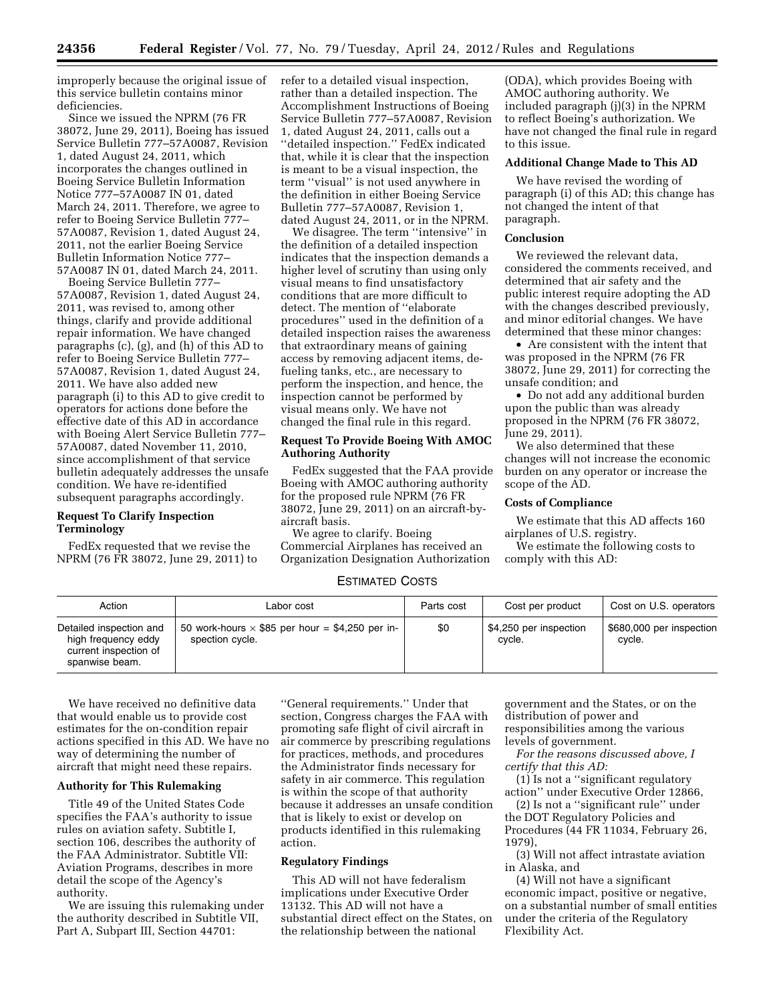improperly because the original issue of this service bulletin contains minor deficiencies.

Since we issued the NPRM (76 FR 38072, June 29, 2011), Boeing has issued Service Bulletin 777–57A0087, Revision 1, dated August 24, 2011, which incorporates the changes outlined in Boeing Service Bulletin Information Notice 777–57A0087 IN 01, dated March 24, 2011. Therefore, we agree to refer to Boeing Service Bulletin 777– 57A0087, Revision 1, dated August 24, 2011, not the earlier Boeing Service Bulletin Information Notice 777– 57A0087 IN 01, dated March 24, 2011.

Boeing Service Bulletin 777– 57A0087, Revision 1, dated August 24, 2011, was revised to, among other things, clarify and provide additional repair information. We have changed paragraphs (c), (g), and (h) of this AD to refer to Boeing Service Bulletin 777– 57A0087, Revision 1, dated August 24, 2011. We have also added new paragraph (i) to this AD to give credit to operators for actions done before the effective date of this AD in accordance with Boeing Alert Service Bulletin 777– 57A0087, dated November 11, 2010, since accomplishment of that service bulletin adequately addresses the unsafe condition. We have re-identified subsequent paragraphs accordingly.

# **Request To Clarify Inspection Terminology**

FedEx requested that we revise the NPRM (76 FR 38072, June 29, 2011) to refer to a detailed visual inspection, rather than a detailed inspection. The Accomplishment Instructions of Boeing Service Bulletin 777–57A0087, Revision 1, dated August 24, 2011, calls out a ''detailed inspection.'' FedEx indicated that, while it is clear that the inspection is meant to be a visual inspection, the term ''visual'' is not used anywhere in the definition in either Boeing Service Bulletin 777–57A0087, Revision 1, dated August 24, 2011, or in the NPRM.

We disagree. The term ''intensive'' in the definition of a detailed inspection indicates that the inspection demands a higher level of scrutiny than using only visual means to find unsatisfactory conditions that are more difficult to detect. The mention of ''elaborate procedures'' used in the definition of a detailed inspection raises the awareness that extraordinary means of gaining access by removing adjacent items, defueling tanks, etc., are necessary to perform the inspection, and hence, the inspection cannot be performed by visual means only. We have not changed the final rule in this regard.

## **Request To Provide Boeing With AMOC Authoring Authority**

FedEx suggested that the FAA provide Boeing with AMOC authoring authority for the proposed rule NPRM (76 FR 38072, June 29, 2011) on an aircraft-byaircraft basis.

We agree to clarify. Boeing Commercial Airplanes has received an Organization Designation Authorization

# ESTIMATED COSTS

| Action                                                                                    | Labor cost                                                                | Parts cost | Cost per product                 | Cost on U.S. operators             |
|-------------------------------------------------------------------------------------------|---------------------------------------------------------------------------|------------|----------------------------------|------------------------------------|
| Detailed inspection and<br>high frequency eddy<br>current inspection of<br>spanwise beam. | 50 work-hours $\times$ \$85 per hour = \$4,250 per in-<br>spection cycle. | \$0        | \$4,250 per inspection<br>cvcle. | \$680,000 per inspection<br>cycle. |

We have received no definitive data that would enable us to provide cost estimates for the on-condition repair actions specified in this AD. We have no way of determining the number of aircraft that might need these repairs.

## **Authority for This Rulemaking**

Title 49 of the United States Code specifies the FAA's authority to issue rules on aviation safety. Subtitle I, section 106, describes the authority of the FAA Administrator. Subtitle VII: Aviation Programs, describes in more detail the scope of the Agency's authority.

We are issuing this rulemaking under the authority described in Subtitle VII, Part A, Subpart III, Section 44701:

''General requirements.'' Under that section, Congress charges the FAA with promoting safe flight of civil aircraft in air commerce by prescribing regulations for practices, methods, and procedures the Administrator finds necessary for safety in air commerce. This regulation is within the scope of that authority because it addresses an unsafe condition that is likely to exist or develop on products identified in this rulemaking action.

## **Regulatory Findings**

This AD will not have federalism implications under Executive Order 13132. This AD will not have a substantial direct effect on the States, on the relationship between the national

government and the States, or on the distribution of power and responsibilities among the various levels of government.

*For the reasons discussed above, I certify that this AD:* 

(1) Is not a ''significant regulatory action'' under Executive Order 12866,

(2) Is not a ''significant rule'' under the DOT Regulatory Policies and Procedures (44 FR 11034, February 26, 1979),

(3) Will not affect intrastate aviation in Alaska, and

(4) Will not have a significant economic impact, positive or negative, on a substantial number of small entities under the criteria of the Regulatory Flexibility Act.

(ODA), which provides Boeing with AMOC authoring authority. We included paragraph (j)(3) in the NPRM to reflect Boeing's authorization. We have not changed the final rule in regard to this issue.

### **Additional Change Made to This AD**

We have revised the wording of paragraph (i) of this AD; this change has not changed the intent of that paragraph.

## **Conclusion**

We reviewed the relevant data, considered the comments received, and determined that air safety and the public interest require adopting the AD with the changes described previously, and minor editorial changes. We have determined that these minor changes:

• Are consistent with the intent that was proposed in the NPRM (76 FR 38072, June 29, 2011) for correcting the unsafe condition; and

• Do not add any additional burden upon the public than was already proposed in the NPRM (76 FR 38072, June 29, 2011).

We also determined that these changes will not increase the economic burden on any operator or increase the scope of the AD.

### **Costs of Compliance**

We estimate that this AD affects 160 airplanes of U.S. registry.

We estimate the following costs to comply with this AD: